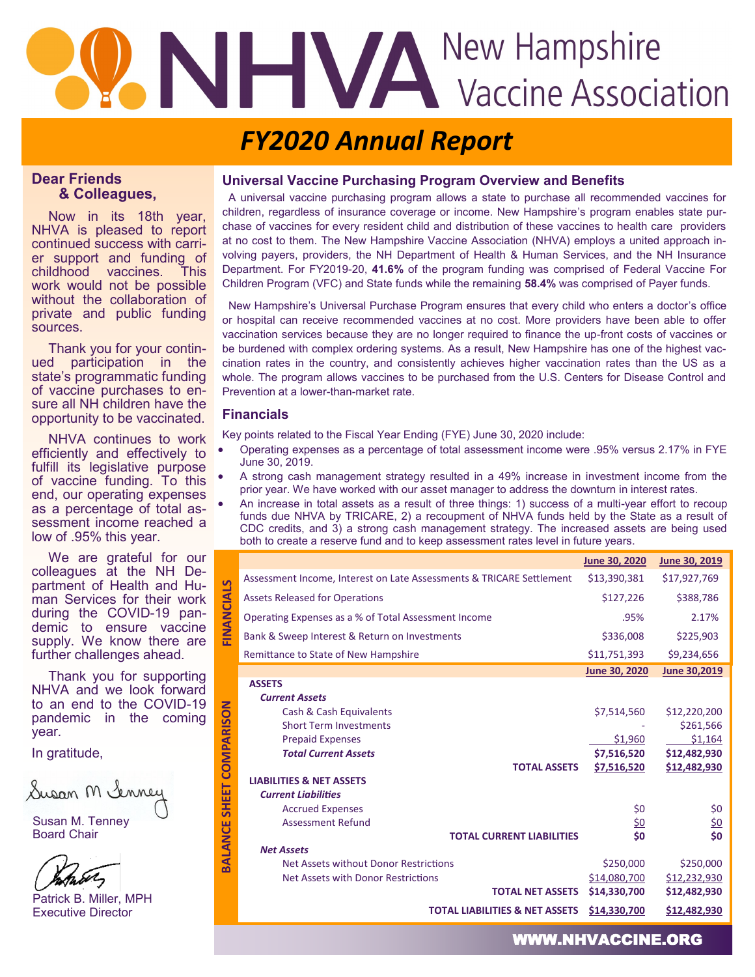# **ANHIPALITE ASSOCIATION**

### *FY2020 Annual Report*

#### **Dear Friends & Colleagues,**

Now in its 18th year, NHVA is pleased to report continued success with carrier support and funding of childhood vaccines. This work would not be possible without the collaboration of private and public funding sources.

Thank you for your continued participation in the state's programmatic funding of vaccine purchases to ensure all NH children have the opportunity to be vaccinated.

NHVA continues to work efficiently and effectively to fulfill its legislative purpose of vaccine funding. To this end, our operating expenses as a percentage of total assessment income reached a low of .95% this year.

We are grateful for our colleagues at the NH Department of Health and Human Services for their work during the COVID-19 pandemic to ensure vaccine supply. We know there are further challenges ahead.

Thank you for supporting NHVA and we look forward to an end to the COVID-19 pandemic in the coming year*.* 

In gratitude,

Susan M Senney

Susan M. Tenney Board Chair

Patrick B. Miller, MPH Executive Director

#### **Universal Vaccine Purchasing Program Overview and Benefits**

 A universal vaccine purchasing program allows a state to purchase all recommended vaccines for children, regardless of insurance coverage or income. New Hampshire's program enables state purchase of vaccines for every resident child and distribution of these vaccines to health care providers at no cost to them. The New Hampshire Vaccine Association (NHVA) employs a united approach involving payers, providers, the NH Department of Health & Human Services, and the NH Insurance Department. For FY2019-20, **41.6%** of the program funding was comprised of Federal Vaccine For Children Program (VFC) and State funds while the remaining **58.4%** was comprised of Payer funds.

 New Hampshire's Universal Purchase Program ensures that every child who enters a doctor's office or hospital can receive recommended vaccines at no cost. More providers have been able to offer vaccination services because they are no longer required to finance the up-front costs of vaccines or be burdened with complex ordering systems. As a result, New Hampshire has one of the highest vaccination rates in the country, and consistently achieves higher vaccination rates than the US as a whole. The program allows vaccines to be purchased from the U.S. Centers for Disease Control and Prevention at a lower-than-market rate.

#### **Financials**

**FINANCIALS**

**BALANCE SHEET COMPARISON** 

Key points related to the Fiscal Year Ending (FYE) June 30, 2020 include:

- Operating expenses as a percentage of total assessment income were .95% versus 2.17% in FYE June 30, 2019.
- A strong cash management strategy resulted in a 49% increase in investment income from the prior year. We have worked with our asset manager to address the downturn in interest rates.
- An increase in total assets as a result of three things: 1) success of a multi-year effort to recoup funds due NHVA by TRICARE, 2) a recoupment of NHVA funds held by the State as a result of CDC credits, and 3) a strong cash management strategy. The increased assets are being used both to create a reserve fund and to keep assessment rates level in future years.

|                   |                                                                      | June 30, 2020 | June 30, 2019 |
|-------------------|----------------------------------------------------------------------|---------------|---------------|
| FINANCIALS        | Assessment Income, Interest on Late Assessments & TRICARE Settlement | \$13,390,381  | \$17,927,769  |
|                   | <b>Assets Released for Operations</b>                                | \$127,226     | \$388,786     |
|                   | Operating Expenses as a % of Total Assessment Income                 | .95%          | 2.17%         |
|                   | Bank & Sweep Interest & Return on Investments                        | \$336,008     | \$225,903     |
|                   | Remittance to State of New Hampshire                                 | \$11,751,393  | \$9,234,656   |
|                   |                                                                      | June 30, 2020 | June 30,2019  |
|                   | <b>ASSETS</b>                                                        |               |               |
|                   | <b>Current Assets</b>                                                |               |               |
|                   | Cash & Cash Equivalents                                              | \$7,514,560   | \$12,220,200  |
|                   | <b>Short Term Investments</b>                                        |               | \$261,566     |
|                   | <b>Prepaid Expenses</b>                                              | \$1,960       | \$1,164       |
|                   | <b>Total Current Assets</b>                                          | \$7,516,520   | \$12,482,930  |
| <b>COMPARISON</b> | <b>TOTAL ASSETS</b>                                                  | \$7,516,520   | \$12,482,930  |
|                   | <b>LIABILITIES &amp; NET ASSETS</b>                                  |               |               |
|                   | <b>Current Liabilities</b>                                           |               |               |
| <b>SHEET</b>      | <b>Accrued Expenses</b>                                              | \$0           | \$0           |
|                   | <b>Assessment Refund</b>                                             | \$0           | <u>\$0</u>    |
| <b>BALANCE</b>    | <b>TOTAL CURRENT LIABILITIES</b>                                     | \$0           | \$0           |
|                   | <b>Net Assets</b>                                                    |               |               |
|                   | Net Assets without Donor Restrictions                                | \$250,000     | \$250,000     |
|                   | Net Assets with Donor Restrictions                                   | \$14,080,700  | \$12,232,930  |
|                   | <b>TOTAL NET ASSETS</b>                                              | \$14,330,700  | \$12,482,930  |
|                   | <b>TOTAL LIABILITIES &amp; NET ASSETS</b>                            | \$14,330,700  | \$12,482,930  |

WWW.NHVACCINE.ORG